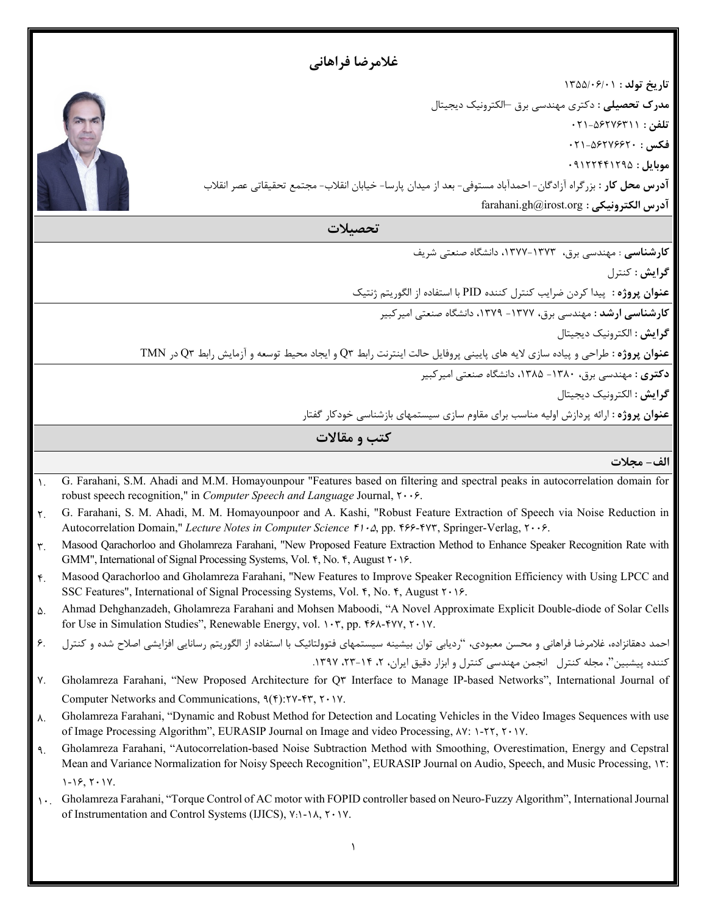|                 | غلامرضا فراهاني                                                                                                                                                                                                                                                                                                                                          |  |
|-----------------|----------------------------------------------------------------------------------------------------------------------------------------------------------------------------------------------------------------------------------------------------------------------------------------------------------------------------------------------------------|--|
|                 | تاريخ تولد: ١٣٥٥/٠۶/٠١                                                                                                                                                                                                                                                                                                                                   |  |
|                 | <b>مدرک تحصیلی</b> : دکتری مهندسی برق ⊣لکترونیک دیجیتال                                                                                                                                                                                                                                                                                                  |  |
|                 | تلفن : ۵۶۲۷۶۳۱۱-۰۲۱                                                                                                                                                                                                                                                                                                                                      |  |
|                 | $+71-0977997$ ۰۲۱                                                                                                                                                                                                                                                                                                                                        |  |
|                 | $.91$ ۲۲۴۴۱۲۹۵ : هوبايل                                                                                                                                                                                                                                                                                                                                  |  |
|                 | <b>آدرس محل کار</b> : بزرگراه آزادگان- احمدآباد مستوفی- بعد از میدان پارسا- خیابان انقلاب- مجتمع تحقیقاتی عصر انقلاب                                                                                                                                                                                                                                     |  |
|                 | آدرس الكترونيكي : farahani.gh@irost.org                                                                                                                                                                                                                                                                                                                  |  |
|                 | تحصىلات                                                                                                                                                                                                                                                                                                                                                  |  |
|                 | کارشناسی : مهندسی برق، ۱۳۷۳-۱۳۷۷، دانشگاه صنعتی شریف                                                                                                                                                                                                                                                                                                     |  |
|                 | گرايش : كنترل                                                                                                                                                                                                                                                                                                                                            |  |
|                 | عنوان پروژه : پیدا کردن ضرایب کنترل کننده PID با استفاده از الگوریتم ژنتیک                                                                                                                                                                                                                                                                               |  |
|                 | کارشناسی ارشد : مهندسی برق، ۱۳۷۷- ۱۳۷۹، دانشگاه صنعتی امیرکبیر                                                                                                                                                                                                                                                                                           |  |
|                 | گرایش : الکترونیک دیجیتال                                                                                                                                                                                                                                                                                                                                |  |
|                 | عنوان پروژه: طراحی و پیاده سازی لایه های پایینی پروفایل حالت اینترنت رابط Q۳ و ایجاد محیط توسعه و آزمایش رابط Q۳ در TMN                                                                                                                                                                                                                                  |  |
|                 | دکتری : مهندسی برق، ۱۳۸۰- ۱۳۸۵، دانشگاه صنعتی امیر کبیر                                                                                                                                                                                                                                                                                                  |  |
|                 | گرایش : الکترونیک دیجیتال                                                                                                                                                                                                                                                                                                                                |  |
|                 | <b>عنوان پروژه</b> : ارائه پردازش اولیه مناسب برای مقاوم سازی سیستمهای بازشناسی خودکار گفتار                                                                                                                                                                                                                                                             |  |
|                 | کتب و مقالات                                                                                                                                                                                                                                                                                                                                             |  |
|                 | الف- مجلات                                                                                                                                                                                                                                                                                                                                               |  |
| $\lambda$ .     | G. Farahani, S.M. Ahadi and M.M. Homayounpour "Features based on filtering and spectral peaks in autocorrelation domain for<br>robust speech recognition," in <i>Computer Speech and Language Journal</i> , $\mathsf{r} \cdot \mathsf{r}$ .                                                                                                              |  |
| ٢.              | G. Farahani, S. M. Ahadi, M. M. Homayounpoor and A. Kashi, "Robust Feature Extraction of Speech via Noise Reduction in<br>Autocorrelation Domain," Lecture Notes in Computer Science F1 · a, pp. F88-FYT, Springer-Verlag, T · · 8.                                                                                                                      |  |
| $\mathbf{r}$ .  | Masood Qarachorloo and Gholamreza Farahani, "New Proposed Feature Extraction Method to Enhance Speaker Recognition Rate with                                                                                                                                                                                                                             |  |
|                 | GMM", International of Signal Processing Systems, Vol. F, No. F, August ۲۰۱۶.                                                                                                                                                                                                                                                                            |  |
| $\mathfrak{f}.$ | Masood Qarachorloo and Gholamreza Farahani, "New Features to Improve Speaker Recognition Efficiency with Using LPCC and<br>SSC Features", International of Signal Processing Systems, Vol. 6, No. 6, August ٢٠١۶.                                                                                                                                        |  |
| ۵.              | Ahmad Dehghanzadeh, Gholamreza Farahani and Mohsen Maboodi, "A Novel Approximate Explicit Double-diode of Solar Cells<br>for Use in Simulation Studies", Renewable Energy, vol. ١٠٣, pp. ۴۶۸-۴۷٧, ٢٠١٧.                                                                                                                                                  |  |
| ۶.              | احمد دهقانزاده، غلامرضا فراهانی و محسن معبودی، "ردیابی توان بیشینه سیستمهای فتوولتائیک با استفاده از الگوریتم رسانایی افزایشی اصلاح شده و کنترل                                                                                                                                                                                                          |  |
|                 | کننده پیشبین"، مجله کنترل انجمن مهندسی کنترل و ابزار دقیق ایران، ۲، ۱۴–۲۳، ۱۳۹۷.                                                                                                                                                                                                                                                                         |  |
| ٧.              | Gholamreza Farahani, "New Proposed Architecture for Q" Interface to Manage IP-based Networks", International Journal of                                                                                                                                                                                                                                  |  |
|                 | Computer Networks and Communications, $\P(\hat{r})$ : $\hat{r}$ $\hat{r}$ , $\hat{r}$ $\hat{r}$ $\hat{r}$                                                                                                                                                                                                                                                |  |
| ۸.              | Gholamreza Farahani, "Dynamic and Robust Method for Detection and Locating Vehicles in the Video Images Sequences with use                                                                                                                                                                                                                               |  |
| ٩.              | of Image Processing Algorithm", EURASIP Journal on Image and video Processing, AY: 1-۲۲, ۲۰۱۷.<br>Gholamreza Farahani, "Autocorrelation-based Noise Subtraction Method with Smoothing, Overestimation, Energy and Cepstral<br>Mean and Variance Normalization for Noisy Speech Recognition", EURASIP Journal on Audio, Speech, and Music Processing, ١٣: |  |
|                 | $1 - 19, 7 - 17.$                                                                                                                                                                                                                                                                                                                                        |  |
| $\mathcal{N}$ . | Gholamreza Farahani, "Torque Control of AC motor with FOPID controller based on Neuro-Fuzzy Algorithm", International Journal<br>of Instrumentation and Control Systems (IJICS), Y: \-\A, Y . \Y.                                                                                                                                                        |  |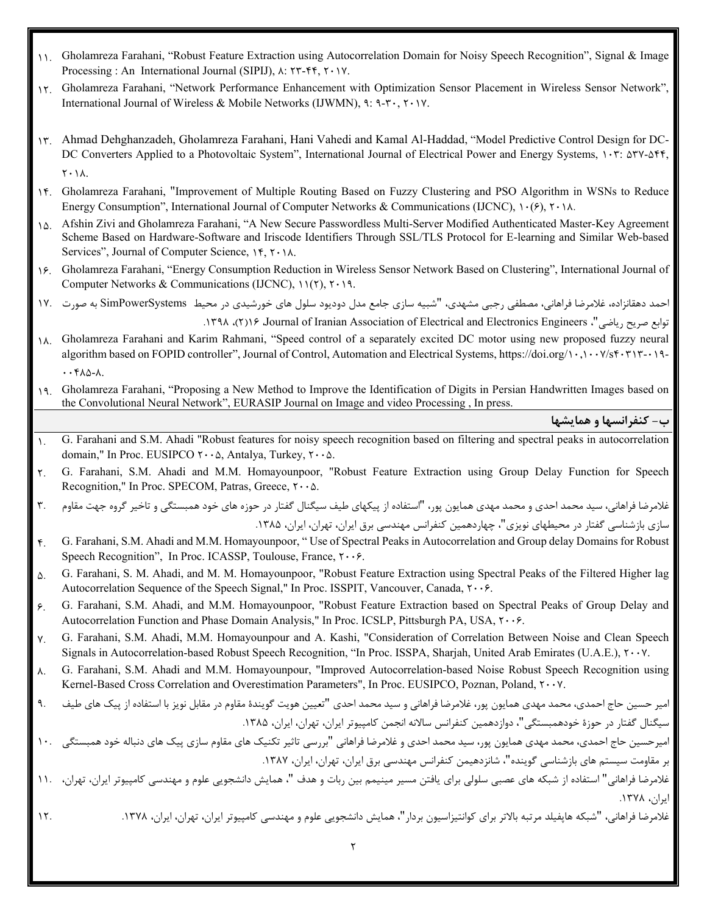- 11. Gholamreza Farahani, "Robust Feature Extraction using Autocorrelation Domain for Noisy Speech Recognition", Signal & Image Processing : An International Journal (SIPIJ),  $\lambda$ :  $\Upsilon^*$ -۴۴,  $\Upsilon \cdot \Upsilon$ .
- 12. Gholamreza Farahani, "Network Performance Enhancement with Optimization Sensor Placement in Wireless Sensor Network", International Journal of Wireless & Mobile Networks (IJWMN), 9: 9- $\mathbf{r} \cdot$ ,  $\mathbf{r} \cdot \mathbf{v}$ .
- 13. Ahmad Dehghanzadeh, Gholamreza Farahani, Hani Vahedi and Kamal Al-Haddad, "Model Predictive Control Design for DC-DC Converters Applied to a Photovoltaic System", International Journal of Electrical Power and Energy Systems,  $1 \cdot \tilde{r}$ :  $\Delta \tilde{r}$  $Y \cdot \Delta$ .
- 14. Gholamreza Farahani, "Improvement of Multiple Routing Based on Fuzzy Clustering and PSO Algorithm in WSNs to Reduce Energy Consumption", International Journal of Computer Networks & Communications (IJCNC),  $\cdot$   $\cdot$   $\cdot$   $\cdot$   $\wedge$ .
- 15. Afshin Zivi and Gholamreza Farahani, "A New Secure Passwordless Multi-Server Modified Authenticated Master-Key Agreement Scheme Based on Hardware-Software and Iriscode Identifiers Through SSL/TLS Protocol for E-learning and Similar Web-based Services", Journal of Computer Science,  $\forall$ ,  $\forall$ ,  $\land$   $\land$ .
- 16. Gholamreza Farahani, "Energy Consumption Reduction in Wireless Sensor Network Based on Clustering", International Journal of Computer Networks & Communications (IJCNC),  $11(7)$ ,  $7.19$ .
- احمد دهقانزاده، غلامرضا فراهانی، مصطفی رجبی مشهدي، "شبیه سازي جامع مدل دودیود سلول هاي خورشیدي در محیط SimPowerSystems به صورت 17.

.1398 ،(2)16 ،Journal of Iranian Association of Electrical and Electronics Engineers ،"ریاضی صریح توابع

- 18. Gholamreza Farahani and Karim Rahmani, "Speed control of a separately excited DC motor using new proposed fuzzy neural algorithm based on FOPID controller", Journal of Control, Automation and Electrical Systems, https://doi.org/10,1007/sf0717-119- $\cdot$   $\cdot$   $\uparrow$   $\wedge$   $\circ$   $\sim$   $\cdot$
- 19. Gholamreza Farahani, "Proposing a New Method to Improve the Identification of Digits in Persian Handwritten Images based on the Convolutional Neural Network", EURASIP Journal on Image and video Processing , In press.

**ب- کنفرانسها و همایشها**

- 1. G. Farahani and S.M. Ahadi "Robust features for noisy speech recognition based on filtering and spectral peaks in autocorrelation domain," In Proc. EUSIPCO  $\mathbf{Y} \cdot \mathbf{0}$ , Antalya, Turkey,  $\mathbf{Y} \cdot \mathbf{0}$ .
- 2. G. Farahani, S.M. Ahadi and M.M. Homayounpoor, "Robust Feature Extraction using Group Delay Function for Speech Recognition," In Proc. SPECOM, Patras, Greece,  $\mathbf{Y} \cdot \mathbf{0}$ .
- غلامرضا فراهانی، سید محمد احدی و محمد مهدی همایون پور، "استفاده از پیکهای طیف سیگنال گفتار در حوزه های خود همبستگی و تاخیر گروه جهت مقاوم م. . ۳ سازي بازشناسی گفتار در محیطهاي نویزي"، چهاردهمین کنفرانس مهندسی برق ایران، تهران، ایران، ۱۳۸۵.
- 4. G. Farahani, S.M. Ahadi and M.M. Homayounpoor, " Use of Spectral Peaks in Autocorrelation and Group delay Domains for Robust Speech Recognition", In Proc. ICASSP, Toulouse, France,  $\mathsf{r} \cdot \cdot \mathsf{e}$ .
- 5. G. Farahani, S. M. Ahadi, and M. M. Homayounpoor, "Robust Feature Extraction using Spectral Peaks of the Filtered Higher lag Autocorrelation Sequence of the Speech Signal," In Proc. ISSPIT, Vancouver, Canada,  $\mathbf{r} \cdot \mathbf{6}$ .
- 6. G. Farahani, S.M. Ahadi, and M.M. Homayounpoor, "Robust Feature Extraction based on Spectral Peaks of Group Delay and Autocorrelation Function and Phase Domain Analysis," In Proc. ICSLP, Pittsburgh PA, USA,  $\tau \cdot \cdot \epsilon$ .
- 7. G. Farahani, S.M. Ahadi, M.M. Homayounpour and A. Kashi, "Consideration of Correlation Between Noise and Clean Speech Signals in Autocorrelation-based Robust Speech Recognition, "In Proc. ISSPA, Sharjah, United Arab Emirates (U.A.E.),  $\tau \cdot \cdot \nu$ .
- 8. G. Farahani, S.M. Ahadi and M.M. Homayounpour, "Improved Autocorrelation-based Noise Robust Speech Recognition using Kernel-Based Cross Correlation and Overestimation Parameters", In Proc. EUSIPCO, Poznan, Poland, T++Y.
- امیر [حسین حاج احمدي،](http://www.civilica.com/modules.php?name=PaperSearch&queryWf=%D8%A7%D9%85%D9%8A%D8%B1%20%D8%AD%D8%B3%D9%8A%D9%86%20&queryWr=%D8%AD%D8%A7%D8%AC%20%D8%A7%D8%AD%D9%85%D8%AF%D9%8A&simoradv=ADV) محمد [مهدي همایون پور،](http://www.civilica.com/modules.php?name=PaperSearch&queryWf=%D9%85%D8%AD%D9%85%D8%AF%20%D9%85%D9%87%D8%AF%D9%8A%20&queryWr=%D9%87%D9%85%D8%A7%D9%8A%D9%88%D9%86%20%D9%BE%D9%88%D8%B1&simoradv=ADV) [غلامرضا](http://www.civilica.com/modules.php?name=PaperSearch&queryWf=%D8%BA%D9%84%D8%A7%D9%85%D8%B1%D8%B6%D8%A7%20&queryWr=%D9%81%D8%B1%D8%A7%D9%87%D8%A7%D9%86%D9%8A&simoradv=ADV) فراهانی و سید [محمد احدي](http://www.civilica.com/modules.php?name=PaperSearch&queryWf=%D8%B3%D9%8A%D8%AF%20%D9%85%D8%AD%D9%85%D8%AF%20&queryWr=%D8%A7%D8%AD%D8%AF%D9%8A&simoradv=ADV) ["](http://www.civilica.com/Paper-ACCSI12-ACCSI12_379.html)[تعیین هویت گویندة مقاوم در مقابل نویز با استفاده از پیک هاي طیف](http://www.civilica.com/Paper-ACCSI12-ACCSI12_379.html) 9. سیگنال گفتار در حوزهٔ خودهمبستگی"، [دوازدهمین کنفرانس سالانه انجمن](http://www.civilica.com/Papers-ACCSI12-0-10-Title-ASC-AI.html) کامپیوتر ایران، تهران، ایران، ۱۳۸۵.
- امیرحسین [حاج احمدي،](http://www.civilica.com/modules.php?name=PaperSearch&queryWf=%D8%A7%D9%85%D9%8A%D8%B1%D8%AD%D8%B3%D9%8A%D9%86&queryWr=%D8%AD%D8%A7%D8%AC%20%D8%A7%D8%AD%D9%85%D8%AF%D9%8A&simoradv=ADV) محمد [مهدي همایون پور،](http://www.civilica.com/modules.php?name=PaperSearch&queryWf=%D9%85%D8%AD%D9%85%D8%AF%20%D9%85%D9%87%D8%AF%D9%8A&queryWr=%D9%87%D9%85%D8%A7%D9%8A%D9%88%D9%86%20%D9%BE%D9%88%D8%B1&simoradv=ADV) سید [محمد احدي](http://www.civilica.com/modules.php?name=PaperSearch&queryWf=%D8%B3%D9%8A%D8%AF%20%D9%85%D8%AD%D9%85%D8%AF&queryWr=%D8%A7%D8%AD%D8%AF%D9%8A&simoradv=ADV) و [غلامرضا](http://www.civilica.com/modules.php?name=PaperSearch&queryWf=%D8%BA%D9%84%D8%A7%D9%85%D8%B1%D8%B6%D8%A7&queryWr=%D9%81%D8%B1%D8%A7%D9%87%D8%A7%D9%86%D9%8A&simoradv=ADV) فراهانی "[بررسی تاثیر تکنیک هاي مقاوم سازي پیک هاي دنباله خود همبستگی](http://www.civilica.com/Paper-ICEE16-ICEE16_199.html) 10. بر مقاومت سیستم های بازشناسی گوینده"، [شانزدهیمن کنفرانس مهندسی برق](http://www.civilica.com/Papers-ICEE16-0-10-Title-ASC-AI.html) ایران، تهران، ایران، ۱۳۸۷.
- .<br>غلامرضا فراهانی" استفاده از شبکه های عصبی سلولی برای یافتن مسیر مینیمم بین ربات و هدف "، همایش دانشجویی علوم و مهندسی کامپیوتر ایران، تهران، <mark>1</mark>۱. ایران، .1378
- .<br>غلامرضا فراهانی، "شبکه هاپفیلد مرتبه بالاتر برای کوانتیزاسیون بردار"، همایش دانشجویی علوم و مهندسی کامپیوتر ایران، توان، ب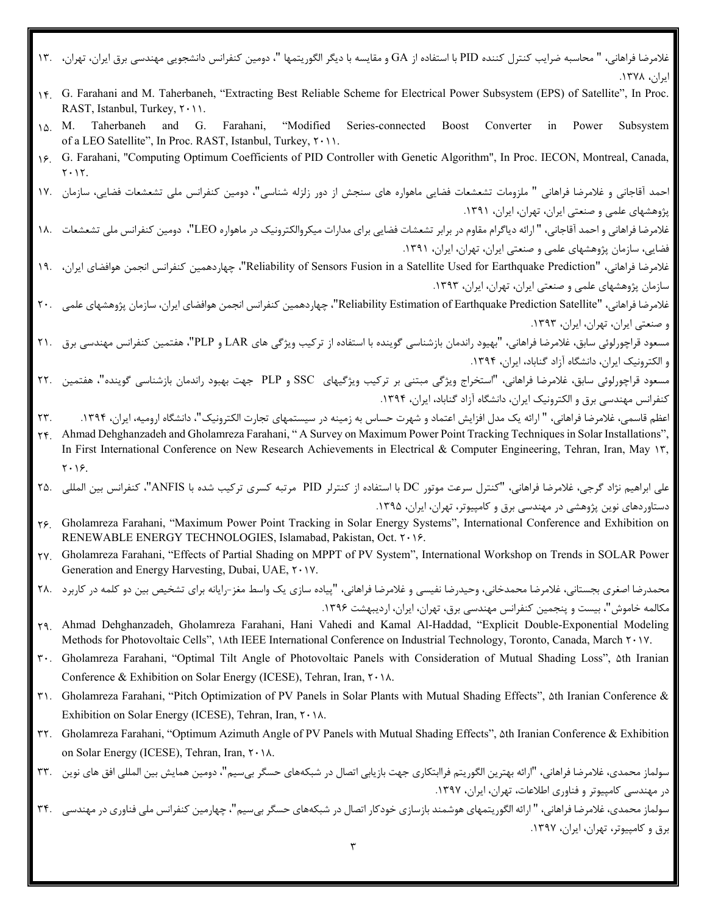- غلامرضا فراهانی، " محاسبه ضرایب کنترل کننده PID با استفاده از GA و مقایسه با دیگر الگوریتمها "، دومین کنفرانس دانشجویی مهندسی برق ایران، تهران، 13. ایران، .1378
- 14. G. Farahani and M. Taherbaneh, "Extracting Best Reliable Scheme for Electrical Power Subsystem (EPS) of Satellite", In Proc. RAST, Istanbul, Turkey,  $\mathsf{r} \cdot \mathsf{n}$ .
- 15. M. Taherbaneh and G. Farahani, "Modified Series-connected Boost Converter in Power Subsystem of a LEO Satellite", In Proc. RAST, Istanbul, Turkey,  $\mathsf{Y} \cdot \mathsf{Y}$ .
- 16. G. Farahani, "Computing Optimum Coefficients of PID Controller with Genetic Algorithm", In Proc. IECON, Montreal, Canada,  $Y \cdot Y$ .

احمد آقاجانی و غلامرضا فراهانی " ملزومات تشعشعات فضایی ماهواره هاي سنجش از دور زلزله شناسی"، دومین کنفرانس ملی تشعشعات فضایی، سازمان 17. پژوهشهاي علمی و صنعتی ایران، تهران، ایران، .1391

- غلامرضا فراهانی و احمد آقاجانی، " ارائه دیاگرام مقاوم در برابر تشعشات فضایی براي مدارات میکروالکترونیک در ماهواره LEO"، دومین کنفرانس ملی تشعشعات 18. فضایی، سازمان پژوهشهاي علمی و صنعتی ایران، تهران، ایران، .1391
- .<br>غلامرضا فراهانی، "Reliability of Sensors Fusion in a Satellite Used for Earthquake Prediction"، چهاردهمین کنفرانس انجمن هوافضای ایران، ۱۹۰ سازمان پژوهشهاي علمی و صنعتی ایران، تهران، ایران، .1393

غلامرضا فراهانی، "Satellite Prediction Earthquake of Estimation Reliability"، چهاردهمین کنفرانس انجمن هوافضاي ایران، سازمان پژوهشهاي علمی 20. و صنعتی ایران، تهران، ایران، .1393

مسعود قراچورلوئی سابق، غلامرضا فراهانی، "بهیود راندمان بازشناسی گوینده با استفاده از ترکیب ویژگی هاي LAR و PLP"، هفتمین کنفرانس مهندسی برق 21. و الکترونیک ایران، دانشگاه آزاد گناباد، ایران، .1394

- مسعود قراچورلوئی سابق، غلامرضا فراهانی، "استخراج ویژگی مبتنی بر ترکیب ویژگیهاي SSC و PLP جهت بهبود راندمان بازشناسی گوینده"، هفتمین 22. کنفرانس مهندسی برق و الکترونیک ایران، دانشگاه آزاد گناباد، ایران، ۱۳۹۴.
- اعظم قاسمی، غلامرضا فراهانی، " ارائه یک مدل افزایش اعتماد و شهرت حساس به زمینه در سیستمهای تجارت الکترونیک"، دانشگاه ارومیه، ایران، ۱۳۹۴.  $\,$
- 24. Ahmad Dehghanzadeh and Gholamreza Farahani, " A Survey on Maximum Power Point Tracking Techniques in Solar Installations", In First International Conference on New Research Achievements in Electrical & Computer Engineering, Tehran, Iran, May 17,  $Y \cdot 19$ .
- علی ابراهیم نژاد گرجی، غلامرضا فراهانی، "کنترل سرعت موتور DC با استفاده از کنترلر PID مرتبه کسري ترکیب شده با ANFIS"، کنفرانس بین المللی 25. دستاوردهای نوین پژوهشی در مهندسی برق و کامپیوتر، تهران، ایران، ۱۳۹۵.
- 26. Gholamreza Farahani, "Maximum Power Point Tracking in Solar Energy Systems", International Conference and Exhibition on RENEWABLE ENERGY TECHNOLOGIES, Islamabad, Pakistan, Oct. ٢٠١۶.
- 27. Gholamreza Farahani, "Effects of Partial Shading on MPPT of PV System", International Workshop on Trends in SOLAR Power Generation and Energy Harvesting, Dubai, UAE, ٢٠١٧.
- محمدرضا اصغری بجستانی، غلامرضا محمدخانی، وحیدرضا نفیسی و غلامرضا فراهانی، "پیاده سازی یک واسط مغز-رایانه برای تشخیص بین دو کلمه در کاربرد 28. مکالمه خاموش"، بیست و پنجمین کنفرانس مهندسی برق، تهران، ایران، اردیبهشت .1396
- 29. Ahmad Dehghanzadeh, Gholamreza Farahani, Hani Vahedi and Kamal Al-Haddad, "Explicit Double-Exponential Modeling Methods for Photovoltaic Cells", *Mth IEEE International Conference on Industrial Technology*, Toronto, Canada, March  $\gamma \cdot \gamma$ .
- 30. Gholamreza Farahani, "Optimal Tilt Angle of Photovoltaic Panels with Consideration of Mutual Shading Loss", 5th Iranian Conference & Exhibition on Solar Energy (ICESE), Tehran, Iran,  $\mathsf{Y} \cdot \mathsf{Y} \lambda$ .
- 31. Gholamreza Farahani, "Pitch Optimization of PV Panels in Solar Plants with Mutual Shading Effects", 5th Iranian Conference & Exhibition on Solar Energy (ICESE), Tehran, Iran,  $\mathsf{Y} \cdot \mathsf{Y} \lambda$ .
- 32. Gholamreza Farahani, "Optimum Azimuth Angle of PV Panels with Mutual Shading Effects", 5th Iranian Conference & Exhibition on Solar Energy (ICESE), Tehran, Iran, ٢٠١٨.
- سولماز محمدی، غلامرضا فراهانی، "ارائه بهترین الگوریتم فراابتکاری جهت بازیابی اتصال در شبکههای حسگر بیسیم"، دومین همایش بین المللی افق های نوین 33. در مهندسی کامپیوتر و فناوري اطلاعات، تهران، ایران، .1397 سولماز محمدي، غلامرضا فراهاني، " ارائه الگوریتمهاي هوشمند بازسازي خودکار اتصال در شبکههاي حسگر بيسيم"، چهارمين کنفرانس ملي فناوري در مهندسي 3۴. برق و کامپیوتر، تهران، ایران، .1397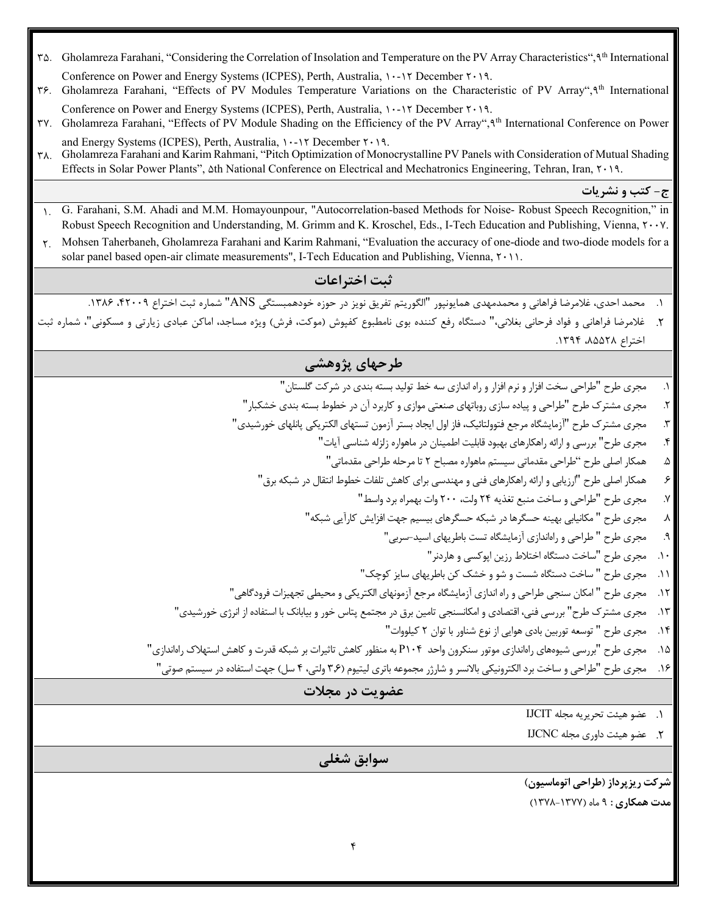- 35. Gholamreza Farahani, "Considering the Correlation of Insolation and Temperature on the PV Array Characteristics",9th International Conference on Power and Energy Systems (ICPES), Perth, Australia,  $1 \cdot 17$  December  $7 \cdot 19$ .
- 36. Gholamreza Farahani, "Effects of PV Modules Temperature Variations on the Characteristic of PV Array",9th International Conference on Power and Energy Systems (ICPES), Perth, Australia,  $1 \cdot -17$  December  $7 \cdot 19$ .
- 37. Gholamreza Farahani, "Effects of PV Module Shading on the Efficiency of the PV Array",9th International Conference on Power and Energy Systems (ICPES), Perth, Australia,  $1 - 17$  December  $7 \cdot 19$ .
- 38. Gholamreza Farahani and Karim Rahmani, "Pitch Optimization of Monocrystalline PV Panels with Consideration of Mutual Shading Effects in Solar Power Plants",  $\Delta$ th National Conference on Electrical and Mechatronics Engineering, Tehran, Iran,  $\gamma \cdot \gamma$ .

**ج- کتب و نشریات**

- 1. G. Farahani, S.M. Ahadi and M.M. Homayounpour, "Autocorrelation-based Methods for Noise- Robust Speech Recognition," in Robust Speech Recognition and Understanding, M. Grimm and K. Kroschel, Eds., I-Tech Education and Publishing, Vienna,  $\gamma \cdot \gamma$ .
- 2. Mohsen Taherbaneh, Gholamreza Farahani and Karim Rahmani, "Evaluation the accuracy of one-diode and two-diode models for a solar panel based open-air climate measurements", I-Tech Education and Publishing, Vienna,  $\uparrow \cdot \uparrow \uparrow$ .

**ثبت اختراعات**

.1 محمد احدي، غلامرضا فراهانی و محمدمهدي همایونپور "الگوریتم تفریق نویز در حوزه خودهمبستگی ANS "شماره ثبت اختراع ،42009 .1386

غلامرضا فراهانی و فواد فرحانی بغلانی،" دستگاه رفع کننده بوي نامطبوع کفپوش (موکت، فرش) ویژه مساجد، اماکن عبادي زیارتی و مسکونی"، شماره ثبت .2 اختراع ۵۲۵۵۲۸، ۱۳۹۴.

## **طرحهاي پژوهشی**

- .1 مجري طرح "طراحی سخت افزار و نرم افزار و راه اندازي سه خط تولید بسته بندي در شرکت گلستان"
- .2 مجري مشترك طرح "طراحی و پیاده سازي روباتهاي صنعتی موازي و کاربرد آن در خطوط بسته بندي خشکبار"
- .3 مجري مشترك طرح "آزمایشگاه مرجع فتوولتائیک، فاز اول ایجاد بستر آزمون تستهاي الکتریکی پانلهاي خورشیدي"
	- .4 مجري طرح" بررسی و ارائه راهکارهاي بهبود قابلیت اطمینان در ماهواره زلزله شناسی آیات"
		- .5 همکار اصلی طرح "طراحی مقدماتی سیستم ماهواره مصباح 2 تا مرحله طراحی مقدماتی"
	- .6 همکار اصلی طرح "ارزیابی و ارائه راهکارهاي فنی و مهندسی براي کاهش تلفات خطوط انتقال در شبکه برق"
		- .7 مجري طرح "طراحی و ساخت منبع تغذیه 24 ولت، 200 وات بهمراه برد واسط"
		- .8 مجري طرح " مکانیابی بهینه حسگرها در شبکه حسگرهاي بیسیم جهت افزایش کارآیی شبکه"
			- .9 مجري طرح " طراحی و راهاندازي آزمایشگاه تست باطریهاي اسید-سربی"
				- .10 مجري طرح "ساخت دستگاه اختلاط رزین اپوکسی و هاردنر"
			- .11 مجري طرح " ساخت دستگاه شست و شو و خشک کن باطریهاي سایز کوچک"
- .12 مجري طرح " امکان سنجی طراحی و راه اندازي آزمایشگاه مرجع آزمونهاي الکتریکی و محیطی تجهیزات فرودگاهی"
- .13 مجري مشترك طرح" بررسی فنی، اقتصادي و امکانسنجی تامین برق در مجتمع پتاس خور و بیابانک با استفاده از انرژي خورشیدي"
	- .14 مجري طرح " توسعه توربین بادي هوایی از نوع شناور با توان 2 کیلووات"
- .15 مجري طرح "بررسی شیوههاي راهاندازي موتور سنکرون واحد 104P به منظور کاهش تاثیرات بر شبکه قدرت و کاهش استهلاك راهاندازي"
	- .16 مجري طرح "طراحی و ساخت برد الکترونیکی بالانسر و شارژر مجموعه باتري لیتیوم (3,6 ولتی، 4 سل) جهت استفاده در سیستم صوتی"

## **عضویت در مجلات**

.1 عضو هیئت تحریریه مجله IJCIT

.2 عضو هیئت داوري مجله IJCNC

## **سوابق شغلی**

**شرکت ریزپرداز (طراحی اتوماسیون) مدت همکاري :** 9 ماه (1378-1377)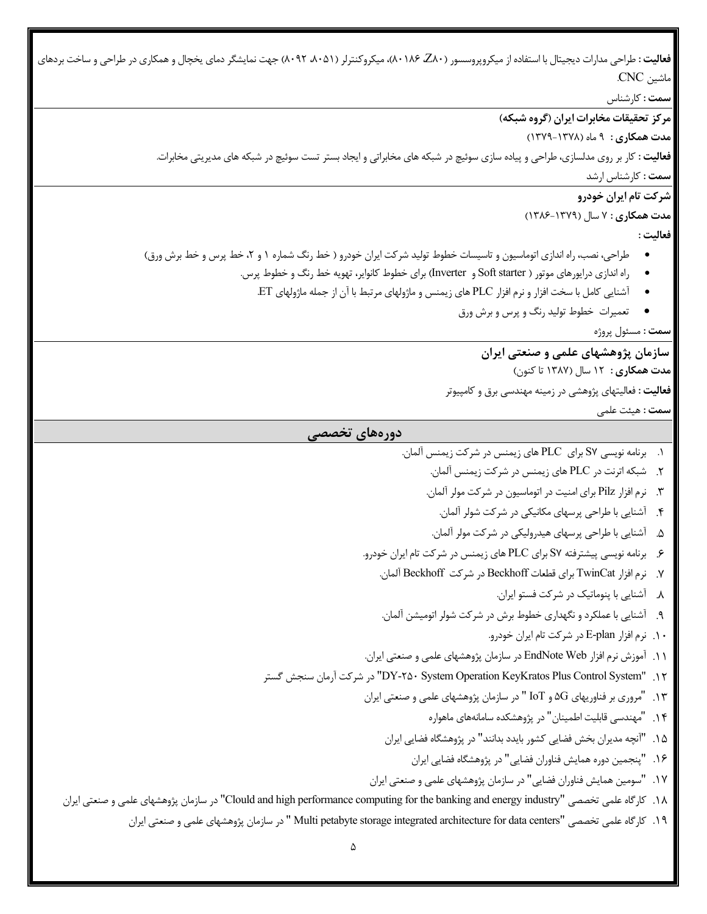**فعالیت :** طراحی مدارات دیجیتال با استفاده از میکروپروسسور (80Z، 80186(، میکروکنترلر (،8051 8092) جهت نمایشگر دماي یخچال و همکاري در طراحی و ساخت بردهاي ماشین CNC. **سمت :** کارشناس **مرکز تحقیقات مخابرات ایران (گروه شبکه) مدت همکاري :** 9 ماه (1379-1378) **فعالیت :** کار بر روي مدلسازي، طراحی و پیاده سازي سوئیچ در شبکه هاي مخابراتی و ایجاد بستر تست سوئیچ در شبکه هاي مدیریتی مخابرات. **سمت :** کارشناس ارشد **شرکت تام ایران خودرو مدت همکاري :** 7 سال (1386-1379) **فعالیت :**  طراحی، نصب، راه اندازی اتوماسیون و تاسیسات خطوط تولید شرکت ایران خودرو ( خط رنگ شماره ۱ و ۲، خط پرس و خط برش ورق) • راه اندازي درایورهاي موتور ( starter Soft و Inverter (براي خطوط کانوایر، تهویه خط رنگ و خطوط پرس. • آشنایی کامل با سخت افزار و نرم افزار PLC هاي زیمنس و ماژولهاي مرتبط با آن از جمله ماژولهاي ET. • تعمیرات خطوط تولید رنگ و پرس و برش ورق **سمت :** مسئول پروژه **سازمان پژوهشهاي علمی و صنعتی ایران مدت همکاري :** 12 سال (1387 تا کنون) **فعالیت :** فعالیتهاي پژوهشی در زمینه مهندسی برق و کامپیوتر **سمت :** هیئت علمی **دورههاي تخصصی** .1 برنامه نویسی 7S براي PLC هاي زیمنس در شرکت زیمنس آلمان. .2 شبکه اترنت در PLC هاي زیمنس در شرکت زیمنس آلمان. .3 نرم افزار Pilz براي امنیت در اتوماسیون در شرکت مولر آلمان. .4 آشنایی با طراحی پرسهاي مکانیکی در شرکت شولر آلمان. .5 آشنایی با طراحی پرسهاي هیدرولیکی در شرکت مولر آلمان. .6 برنامه نویسی پیشترفته 7S براي PLC هاي زیمنس در شرکت تام ایران خودرو. .7 نرم افزار TwinCat براي قطعات Beckhoff در شرکت Beckhoff آلمان. .8 آشنایی با پنوماتیک در شرکت فستو ایران. .9 آشنایی با عملکرد و نگهداري خطوط برش در شرکت شولر اتومیشن آلمان. .10 نرم افزار plan-E در شرکت تام ایران خودرو. .11 آموزش نرم افزار Web EndNote در سازمان پژوهشهاي علمی و صنعتی ایران. گستر سنجش آرمان شرکت در" DY-250 System Operation KeyKratos Plus Control System" .12 .13 "مروري بر فناوریهاي G5 و IoT " در سازمان پژوهشهاي علمی و صنعتی ایران .14 "مهندسی قابلیت اطمینان" در پژوهشکده سامانههاي ماهواره .15 "آنچه مدیران بخش فضایی کشور بایدد بدانند" در پژوهشگاه فضایی ایران .16 "پنجمین دوره همایش فناوران فضایی" در پژوهشگاه فضایی ایران .17 "سومین همایش فناوران فضایی" در سازمان پژوهشهاي علمی و صنعتی ایران ایران صنعتی و علمی پژوهشهاي سازمان در" Clould and high performance computing for the banking and energy industry" تخصصی علمی کارگاه .18 .19 کارگاه علمی تخصصی "centers data for architecture integrated storage petabyte Multi " در سازمان پژوهشهاي علمی و صنعتی ایران